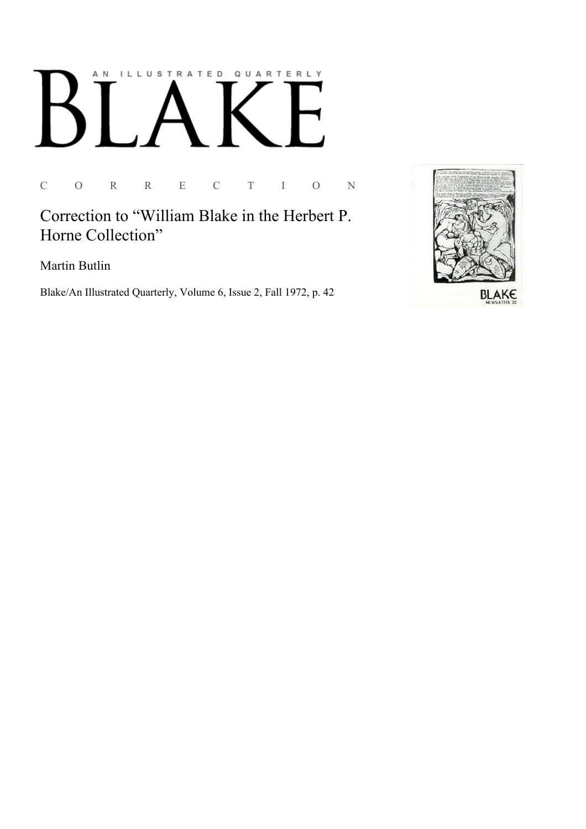# AN ILLUSTRATED QUARTERLY

C O R R E C T I O N

Correction to "William Blake in the Herbert P. Horne Collection"

Martin Butlin

Blake/An Illustrated Quarterly, Volume 6, Issue 2, Fall 1972, p. 42